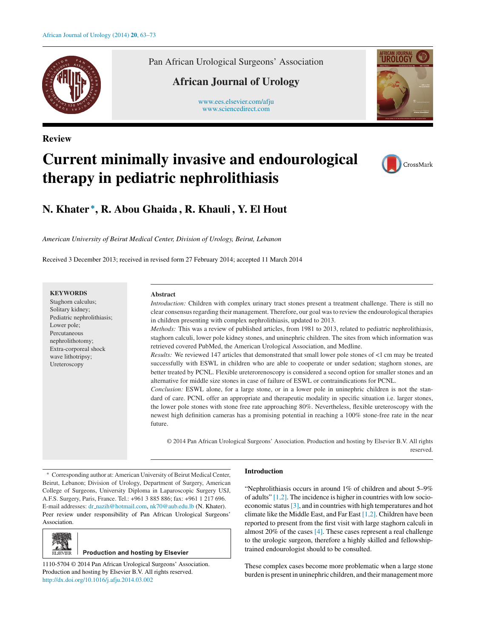

**Review**

Pan African Urological Surgeons' Association

# **African Journal of Urology**

[www.ees.elsevier.com/afju](http://www.ees.elsevier.com/afju) [www.sciencedirect.com](http://www.sciencedirect.com/science/journal/11105704)



# **Current minimally invasive and endourological therapy in pediatric nephrolithiasis**



# **N. Khater <sup>∗</sup>, R. Abou Ghaida , R. Khauli , Y. El Hout**

*American University of Beirut Medical Center, Division of Urology, Beirut, Lebanon*

Received 3 December 2013; received in revised form 27 February 2014; accepted 11 March 2014

# **KEYWORDS**

Staghorn calculus; Solitary kidney; Pediatric nephrolithiasis; Lower pole; Percutaneous nephrolithotomy; Extra-corporeal shock wave lithotripsy; Ureteroscopy

#### **Abstract**

*Introduction:* Children with complex urinary tract stones present a treatment challenge. There is still no clear consensus regarding their management. Therefore, our goal was to review the endourological therapies in children presenting with complex nephrolithiasis, updated to 2013.

*Methods:* This was a review of published articles, from 1981 to 2013, related to pediatric nephrolithiasis, staghorn calculi, lower pole kidney stones, and uninephric children. The sites from which information was retrieved covered PubMed, the American Urological Association, and Medline.

*Results:* We reviewed 147 articles that demonstrated that small lower pole stones of <1 cm may be treated successfully with ESWL in children who are able to cooperate or under sedation; staghorn stones, are better treated by PCNL. Flexible ureterorenoscopy is considered a second option for smaller stones and an alternative for middle size stones in case of failure of ESWL or contraindications for PCNL.

*Conclusion:* ESWL alone, for a large stone, or in a lower pole in uninephric children is not the standard of care. PCNL offer an appropriate and therapeutic modality in specific situation i.e. larger stones, the lower pole stones with stone free rate approaching 80%. Nevertheless, flexible ureteroscopy with the newest high definition cameras has a promising potential in reaching a 100% stone-free rate in the near future.

© 2014 Pan African Urological Surgeons' Association. Production and hosting by Elsevier B.V. All rights reserved.

∗ Corresponding author at: American University of Beirut Medical Center, Beirut, Lebanon; Division of Urology, Department of Surgery, American College of Surgeons, University Diploma in Laparoscopic Surgery USJ, A.F.S. Surgery, Paris, France. Tel.: +961 3 885 886; fax: +961 1 217 696. E-mail addresses: dr [nazih@hotmail.com](mailto:dr_nazih@hotmail.com), [nk70@aub.edu.lb](mailto:nk70@aub.edu.lb) (N. Khater). Peer review under responsibility of Pan African Urological Surgeons' Association.



**Production and hosting by Elsevier** 

1110-5704 © 2014 Pan African Urological Surgeons' Association. Production and hosting by Elsevier B.V. All rights reserved. [http://dx.doi.org/10.1016/j.afju.2014.03.002](dx.doi.org/10.1016/j.afju.2014.03.002)

# **Introduction**

"Nephrolithiasis occurs in around 1% of children and about 5–9% of adults" [\[1,2\]. T](#page-6-0)he incidence is higher in countries with low socioeconomic status[\[3\], a](#page-6-0)nd in countries with high temperatures and hot climate like the Middle East, and Far East [\[1,2\]. C](#page-6-0)hildren have been reported to present from the first visit with large staghorn calculi in almost 20% of the cases [\[4\]. T](#page-6-0)hese cases represent a real challenge to the urologic surgeon, therefore a highly skilled and fellowshiptrained endourologist should to be consulted.

These complex cases become more problematic when a large stone burden is present in uninephric children, and their management more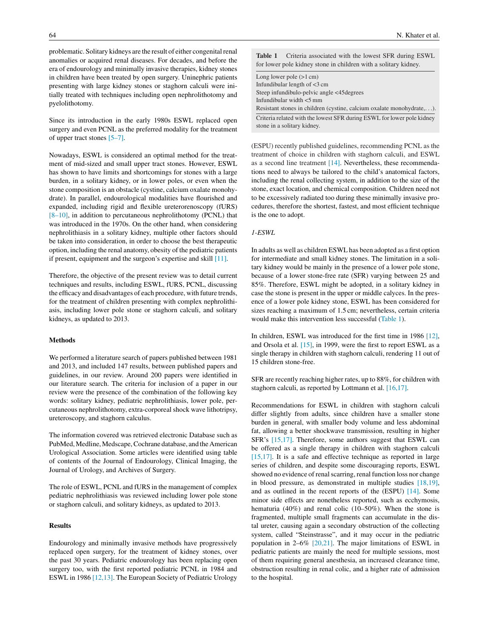<span id="page-1-0"></span>problematic. Solitary kidneys are the result of either congenital renal anomalies or acquired renal diseases. For decades, and before the era of endourology and minimally invasive therapies, kidney stones in children have been treated by open surgery. Uninephric patients presenting with large kidney stones or staghorn calculi were initially treated with techniques including open nephrolithotomy and pyelolithotomy.

Since its introduction in the early 1980s ESWL replaced open surgery and even PCNL as the preferred modality for the treatment of upper tract stones [\[5–7\].](#page-6-0)

Nowadays, ESWL is considered an optimal method for the treatment of mid-sized and small upper tract stones. However, ESWL has shown to have limits and shortcomings for stones with a large burden, in a solitary kidney, or in lower poles, or even when the stone composition is an obstacle (cystine, calcium oxalate monohydrate). In parallel, endourological modalities have flourished and expanded, including rigid and flexible ureterorenoscopy (fURS) [\[8–10\], i](#page-6-0)n addition to percutaneous nephrolithotomy (PCNL) that was introduced in the 1970s. On the other hand, when considering nephrolithiasis in a solitary kidney, multiple other factors should be taken into consideration, in order to choose the best therapeutic option, including the renal anatomy, obesity of the pediatric patients if present, equipment and the surgeon's expertise and skill [\[11\].](#page-7-0)

Therefore, the objective of the present review was to detail current techniques and results, including ESWL, fURS, PCNL, discussing the efficacy and disadvantages of each procedure, with future trends, for the treatment of children presenting with complex nephrolithiasis, including lower pole stone or staghorn calculi, and solitary kidneys, as updated to 2013.

#### **Methods**

We performed a literature search of papers published between 1981 and 2013, and included 147 results, between published papers and guidelines, in our review. Around 200 papers were identified in our literature search. The criteria for inclusion of a paper in our review were the presence of the combination of the following key words: solitary kidney, pediatric nephrolithiasis, lower pole, percutaneous nephrolithotomy, extra-corporeal shock wave lithotripsy, ureteroscopy, and staghorn calculus.

The information covered was retrieved electronic Database such as PubMed, Medline, Medscape, Cochrane database, and the American Urological Association. Some articles were identified using table of contents of the Journal of Endourology, Clinical Imaging, the Journal of Urology, and Archives of Surgery.

The role of ESWL, PCNL and fURS in the management of complex pediatric nephrolithiasis was reviewed including lower pole stone or staghorn calculi, and solitary kidneys, as updated to 2013.

# **Results**

Endourology and minimally invasive methods have progressively replaced open surgery, for the treatment of kidney stones, over the past 30 years. Pediatric endourology has been replacing open surgery too, with the first reported pediatric PCNL in 1984 and ESWL in 1986 [\[12,13\]. T](#page-7-0)he European Society of Pediatric Urology **Table 1** Criteria associated with the lowest SFR during ESWL for lower pole kidney stone in children with a solitary kidney.

| Long lower pole $(>1 \text{ cm})$                                                                     |
|-------------------------------------------------------------------------------------------------------|
| Infundibular length of $<$ 3 cm                                                                       |
| Steep infundibulo-pelvic angle <45 degrees                                                            |
| Infundibular width <5 mm                                                                              |
| Resistant stones in children (cystine, calcium oxalate monohydrate, $\dots$ ).                        |
| Criteria related with the lowest SFR during ESWL for lower pole kidney<br>stone in a solitary kidney. |

(ESPU) recently published guidelines, recommending PCNL as the treatment of choice in children with staghorn calculi, and ESWL as a second line treatment [\[14\].](#page-7-0) Nevertheless, these recommendations need to always be tailored to the child's anatomical factors, including the renal collecting system, in addition to the size of the stone, exact location, and chemical composition. Children need not to be excessively radiated too during these minimally invasive procedures, therefore the shortest, fastest, and most efficient technique is the one to adopt.

# *1-ESWL*

In adults as well as children ESWL has been adopted as a first option for intermediate and small kidney stones. The limitation in a solitary kidney would be mainly in the presence of a lower pole stone, because of a lower stone-free rate (SFR) varying between 25 and 85%. Therefore, ESWL might be adopted, in a solitary kidney in case the stone is present in the upper or middle calyces. In the presence of a lower pole kidney stone, ESWL has been considered for sizes reaching a maximum of 1.5 cm; nevertheless, certain criteria would make this intervention less successful (Table 1).

In children, ESWL was introduced for the first time in 1986 [\[12\],](#page-7-0) and Orsola et al. [\[15\],](#page-7-0) in 1999, were the first to report ESWL as a single therapy in children with staghorn calculi, rendering 11 out of 15 children stone-free.

SFR are recently reaching higher rates, up to 88%, for children with staghorn calculi, as reported by Lottmann et al. [\[16,17\].](#page-7-0)

Recommendations for ESWL in children with staghorn calculi differ slightly from adults, since children have a smaller stone burden in general, with smaller body volume and less abdominal fat, allowing a better shockwave transmission, resulting in higher SFR's [\[15,17\].](#page-7-0) Therefore, some authors suggest that ESWL can be offered as a single therapy in children with staghorn calculi [\[15,17\].](#page-7-0) It is a safe and effective technique as reported in large series of children, and despite some discouraging reports, ESWL showed no evidence of renal scarring, renal function loss nor change in blood pressure, as demonstrated in multiple studies [\[18,19\],](#page-7-0) and as outlined in the recent reports of the (ESPU) [\[14\].](#page-7-0) Some minor side effects are nonetheless reported, such as ecchymosis, hematuria (40%) and renal colic (10–50%). When the stone is fragmented, multiple small fragments can accumulate in the distal ureter, causing again a secondary obstruction of the collecting system, called "Steinstrasse", and it may occur in the pediatric population in 2–6% [\[20,21\].](#page-7-0) The major limitations of ESWL in pediatric patients are mainly the need for multiple sessions, most of them requiring general anesthesia, an increased clearance time, obstruction resulting in renal colic, and a higher rate of admission to the hospital.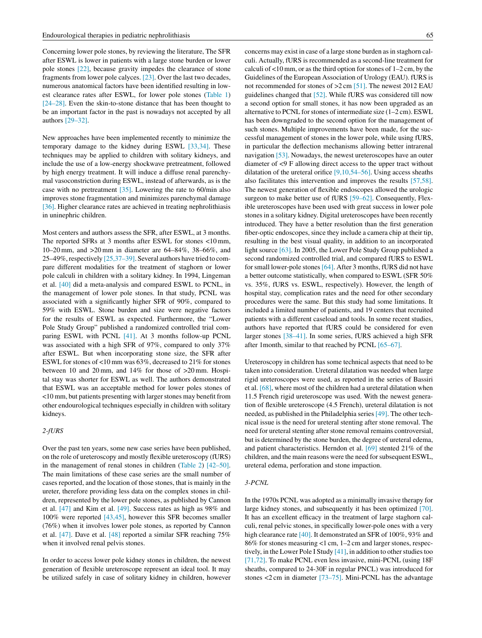Concerning lower pole stones, by reviewing the literature, The SFR after ESWL is lower in patients with a large stone burden or lower pole stones [\[22\],](#page-7-0) because gravity impedes the clearance of stone fragments from lower pole calyces. [\[23\]. O](#page-7-0)ver the last two decades, numerous anatomical factors have been identified resulting in lowest clearance rates after ESWL, for lower pole stones ([Table 1\)](#page-1-0) [\[24–28\].](#page-7-0) Even the skin-to-stone distance that has been thought to be an important factor in the past is nowadays not accepted by all authors [\[29–32\].](#page-7-0)

New approaches have been implemented recently to minimize the temporary damage to the kidney during ESWL [\[33,34\].](#page-7-0) These techniques may be applied to children with solitary kidneys, and include the use of a low-energy shockwave pretreatment, followed by high energy treatment. It will induce a diffuse renal parenchymal vasoconstriction during ESWL, instead of afterwards, as is the case with no pretreatment [\[35\].](#page-7-0) Lowering the rate to 60/min also improves stone fragmentation and minimizes parenchymal damage [\[36\]. H](#page-7-0)igher clearance rates are achieved in treating nephrolithiasis in uninephric children.

Most centers and authors assess the SFR, after ESWL, at 3 months. The reported SFRs at 3 months after ESWL for stones <10 mm, 10–20 mm, and >20 mm in diameter are 64–84%, 38–66%, and 25–49%, respectively [\[25,37–39\]. S](#page-7-0)everal authors have tried to compare different modalities for the treatment of staghorn or lower pole calculi in children with a solitary kidney. In 1994, Lingeman et al. [\[40\]](#page-7-0) did a meta-analysis and compared ESWL to PCNL, in the management of lower pole stones. In that study, PCNL was associated with a significantly higher SFR of 90%, compared to 59% with ESWL. Stone burden and size were negative factors for the results of ESWL as expected. Furthermore, the "Lower Pole Study Group" published a randomized controlled trial comparing ESWL with PCNL [\[41\].](#page-7-0) At 3 months follow-up PCNL was associated with a high SFR of 97%, compared to only 37% after ESWL. But when incorporating stone size, the SFR after ESWL for stones of <10 mm was 63%, decreased to 21% for stones between 10 and 20 mm, and 14% for those of >20 mm. Hospital stay was shorter for ESWL as well. The authors demonstrated that ESWL was an acceptable method for lower poles stones of <10 mm, but patients presenting with larger stones may benefit from other endourological techniques especially in children with solitary kidneys.

### *2-fURS*

Over the past ten years, some new case series have been published, on the role of ureteroscopy and mostly flexible ureteroscopy (fURS) in the management of renal stones in children ([Table 2\)](#page-3-0) [\[42–50\].](#page-7-0) The main limitations of these case series are the small number of cases reported, and the location of those stones, that is mainly in the ureter, therefore providing less data on the complex stones in children, represented by the lower pole stones, as published by Cannon et al. [\[47\]](#page-7-0) and Kim et al. [\[49\]. S](#page-7-0)uccess rates as high as 98% and 100% were reported [\[43,45\],](#page-7-0) however this SFR becomes smaller (76%) when it involves lower pole stones, as reported by Cannon et al. [\[47\]. D](#page-7-0)ave et al. [\[48\]](#page-7-0) reported a similar SFR reaching 75% when it involved renal pelvis stones.

In order to access lower pole kidney stones in children, the newest generation of flexible ureteroscope represent an ideal tool. It may be utilized safely in case of solitary kidney in children, however concerns may exist in case of a large stone burden as in staghorn calculi. Actually, fURS is recommended as a second-line treatment for calculi of  $\lt 10$  mm, or as the third option for stones of  $1-2$  cm, by the Guidelines of the European Association of Urology (EAU). fURS is not recommended for stones of >2 cm [\[51\]. T](#page-8-0)he newest 2012 EAU guidelines changed that [\[52\]. W](#page-8-0)hile fURS was considered till now a second option for small stones, it has now been upgraded as an alternative to PCNL for stones of intermediate size (1–2 cm). ESWL has been downgraded to the second option for the management of such stones. Multiple improvements have been made, for the successful management of stones in the lower pole, while using fURS, in particular the deflection mechanisms allowing better intrarenal navigation [\[53\]. N](#page-8-0)owadays, the newest ureteroscopes have an outer diameter of <9 F allowing direct access to the upper tract without dilatation of the ureteral orifice  $[9,10,54–56]$ . Using access sheaths also facilitates this intervention and improves the results [\[57,58\].](#page-8-0) The newest generation of flexible endoscopes allowed the urologic surgeon to make better use of fURS [\[59–62\].](#page-8-0) Consequently, Flexible ureteroscopes have been used with great success in lower pole stones in a solitary kidney. Digital ureteroscopes have been recently introduced. They have a better resolution than the first generation fiber-optic endoscopes, since they include a camera chip at their tip, resulting in the best visual quality, in addition to an incorporated light source [\[63\]. I](#page-8-0)n 2005, the Lower Pole Study Group published a second randomized controlled trial, and compared fURS to ESWL for small lower-pole stones [\[64\]. A](#page-8-0)fter 3 months, fURS did not have a better outcome statistically, when compared to ESWL (SFR 50% vs. 35%, fURS vs. ESWL, respectively). However, the length of hospital stay, complication rates and the need for other secondary procedures were the same. But this study had some limitations. It included a limited number of patients, and 19 centers that recruited patients with a different caseload and tools. In some recent studies, authors have reported that fURS could be considered for even larger stones [\[38–41\]. I](#page-7-0)n some series, fURS achieved a high SFR after 1month, similar to that reached by PCNL [\[65–67\].](#page-8-0)

Ureteroscopy in children has some technical aspects that need to be taken into consideration. Ureteral dilatation was needed when large rigid ureteroscopes were used, as reported in the series of Bassiri et al. [\[68\], w](#page-8-0)here most of the children had a ureteral dilatation when 11.5 French rigid ureteroscope was used. With the newest generation of flexible ureteroscope (4.5 French), ureteral dilatation is not needed, as published in the Philadelphia series [\[49\]. T](#page-7-0)he other technical issue is the need for ureteral stenting after stone removal. The need for ureteral stenting after stone removal remains controversial, but is determined by the stone burden, the degree of ureteral edema, and patient characteristics. Herndon et al. [\[69\]](#page-8-0) stented 21% of the children, and the main reasons were the need for subsequent ESWL, ureteral edema, perforation and stone impaction.

#### *3-PCNL*

In the 1970s PCNL was adopted as a minimally invasive therapy for large kidney stones, and subsequently it has been optimized [\[70\].](#page-8-0) It has an excellent efficacy in the treatment of large staghorn calculi, renal pelvic stones, in specifically lower-pole ones with a very high clearance rate [\[40\]. I](#page-7-0)t demonstrated an SFR of 100%, 93% and 86% for stones measuring <1 cm, 1–2 cm and larger stones, respectively, in the Lower Pole I Study [\[41\], i](#page-7-0)n addition to other studies too [\[71,72\]. T](#page-8-0)o make PCNL even less invasive, mini-PCNL (using 18F sheaths, compared to 24-30F in regular PNCL) was introduced for stones <2 cm in diameter [\[73–75\].](#page-8-0) Mini-PCNL has the advantage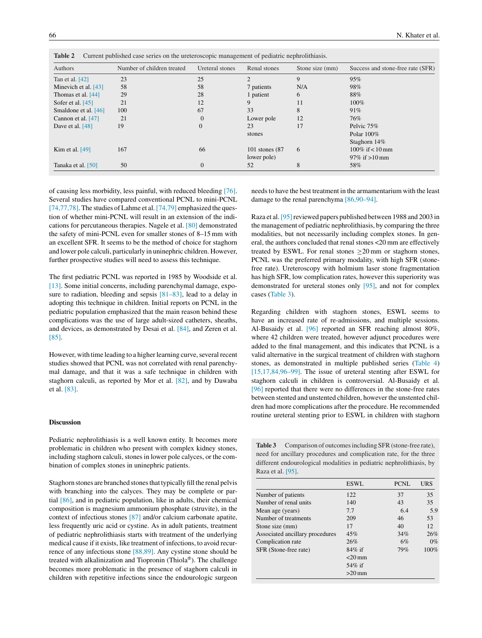<span id="page-3-0"></span>

| Authors              | Number of children treated | Ureteral stones | Renal stones      | Stone size (mm) | Success and stone-free rate (SFR) |
|----------------------|----------------------------|-----------------|-------------------|-----------------|-----------------------------------|
| Tan et al. $[42]$    | 23                         | 25              | $\mathfrak{D}$    | 9               | 95%                               |
| Minevich et al. [43] | 58                         | 58              | 7 patients        | N/A             | 98%                               |
| Thomas et al. [44]   | 29                         | 28              | 1 patient         | 6               | 88%                               |
| Sofer et al. $[45]$  | 21                         | 12              | 9                 | 11              | $100\%$                           |
| Smaldone et al. [46] | 100                        | 67              | 33                | 8               | 91%                               |
| Cannon et al. [47]   | 21                         | $\Omega$        | Lower pole        | 12              | 76%                               |
| Dave et al. $[48]$   | 19                         | 0               | 23                | 17              | Pelvic 75%                        |
|                      |                            |                 | stones            |                 | Polar $100\%$                     |
|                      |                            |                 |                   |                 | Staghorn 14%                      |
| Kim et al. $[49]$    | 167                        | 66              | 101 stones $(87)$ | 6               | $100\%$ if < $10 \text{ mm}$      |
|                      |                            |                 | lower pole)       |                 | 97\% if $>10$ mm                  |
| Tanaka et al. [50]   | 50                         | $\Omega$        | 52                | 8               | 58%                               |

of causing less morbidity, less painful, with reduced bleeding [\[76\].](#page-8-0) Several studies have compared conventional PCNL to mini-PCNL [\[74,77,78\]. T](#page-8-0)he studies of Lahme et al. [\[74,79\]](#page-8-0) emphasized the question of whether mini-PCNL will result in an extension of the indications for percutaneous therapies. Nagele et al. [\[80\]](#page-8-0) demonstrated the safety of mini-PCNL even for smaller stones of 8–15 mm with an excellent SFR. It seems to be the method of choice for staghorn and lower pole calculi, particularly in uninephric children. However, further prospective studies will need to assess this technique.

The first pediatric PCNL was reported in 1985 by Woodside et al. [\[13\]. S](#page-7-0)ome initial concerns, including parenchymal damage, exposure to radiation, bleeding and sepsis [\[81–83\],](#page-8-0) lead to a delay in adopting this technique in children. Initial reports on PCNL in the pediatric population emphasized that the main reason behind these complications was the use of large adult-sized catheters, sheaths, and devices, as demonstrated by Desai et al. [\[84\],](#page-8-0) and Zeren et al. [\[85\].](#page-8-0)

However, with time leading to a higher learning curve, several recent studies showed that PCNL was not correlated with renal parenchymal damage, and that it was a safe technique in children with staghorn calculi, as reported by Mor et al. [\[82\],](#page-8-0) and by Dawaba et al. [\[83\].](#page-8-0)

#### **Discussion**

Pediatric nephrolithiasis is a well known entity. It becomes more problematic in children who present with complex kidney stones, including staghorn calculi, stones in lower pole calyces, or the combination of complex stones in uninephric patients.

Staghorn stones are branched stones that typically fill the renal pelvis with branching into the calyces. They may be complete or partial [\[86\], a](#page-8-0)nd in pediatric population, like in adults, their chemical composition is magnesium ammonium phosphate (struvite), in the context of infectious stones [\[87\]](#page-8-0) and/or calcium carbonate apatite, less frequently uric acid or cystine. As in adult patients, treatment of pediatric nephrolithiasis starts with treatment of the underlying medical cause if it exists, like treatment of infections, to avoid recurrence of any infectious stone [\[88,89\].](#page-8-0) Any cystine stone should be treated with alkalinization and Tiopronin (Thiola®). The challenge becomes more problematic in the presence of staghorn calculi in children with repetitive infections since the endourologic surgeon needs to have the best treatment in the armamentarium with the least damage to the renal parenchyma [\[86,90–94\].](#page-8-0)

Raza et al. [95] reviewed papers published between 1988 and 2003 in the management of pediatric nephrolithiasis, by comparing the three modalities, but not necessarily including complex stones. In general, the authors concluded that renal stones <20 mm are effectively treated by ESWL. For renal stones > 20 mm or staghorn stones, PCNL was the preferred primary modality, with high SFR (stonefree rate). Ureteroscopy with holmium laser stone fragmentation has high SFR, low complication rates, however this superiority was demonstrated for ureteral stones only [\[95\],](#page-8-0) and not for complex cases (Table 3).

Regarding children with staghorn stones, ESWL seems to have an increased rate of re-admissions, and multiple sessions. Al-Busaidy et al. [\[96\]](#page-8-0) reported an SFR reaching almost 80%, where 42 children were treated, however adjunct procedures were added to the final management, and this indicates that PCNL is a valid alternative in the surgical treatment of children with staghorn stones, as demonstrated in multiple published series [\(Table 4\)](#page-4-0) [\[15,17,84,96–99\].](#page-7-0) The issue of ureteral stenting after ESWL for staghorn calculi in children is controversial. Al-Busaidy et al. [\[96\]](#page-8-0) reported that there were no differences in the stone-free rates between stented and unstented children, however the unstented children had more complications after the procedure. He recommended routine ureteral stenting prior to ESWL in children with staghorn

|                      | <b>Table 3</b> Comparison of outcomes including SFR (stone-free rate), |
|----------------------|------------------------------------------------------------------------|
|                      | need for ancillary procedures and complication rate, for the three     |
|                      | different endourological modalities in pediatric nephrolithiasis, by   |
| Raza et al. $[95]$ . |                                                                        |

|                                 | <b>ESWL</b> | PCNL | <b>URS</b> |
|---------------------------------|-------------|------|------------|
| Number of patients              | 122         | 37   | 35         |
| Number of renal units           | 140         | 43   | 35         |
| Mean age (years)                | 7.7         | 6.4  | 5.9        |
| Number of treatments            | 209         | 46   | 53         |
| Stone size (mm)                 | 17          | 40   | 12         |
| Associated ancillary procedures | 45%         | 34%  | 26%        |
| Complication rate               | 26%         | 6%   | $0\%$      |
| SFR (Stone-free rate)           | $84\%$ if   | 79%  | 100%       |
|                                 | $<$ 20 mm   |      |            |
|                                 | $54\%$ if   |      |            |
|                                 | $>20$ mm    |      |            |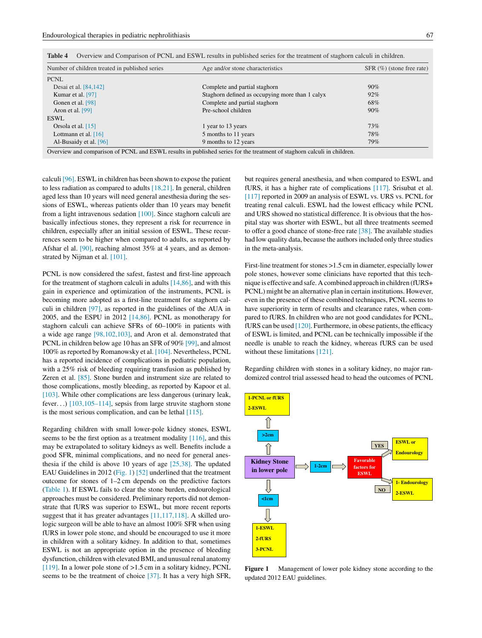| Number of children treated in published series | Age and/or stone characteristics                                                                                        | $SFR$ (%) (stone free rate) |
|------------------------------------------------|-------------------------------------------------------------------------------------------------------------------------|-----------------------------|
| <b>PCNL</b>                                    |                                                                                                                         |                             |
| Desai et al. [84,142]                          | Complete and partial staghorn                                                                                           | $90\%$                      |
| Kumar et al. [97]                              | Staghorn defined as occupying more than 1 calyx                                                                         | $92\%$                      |
| Gonen et al. [98]                              | Complete and partial staghorn                                                                                           | 68%                         |
| Aron et al. [99]                               | Pre-school children                                                                                                     | $90\%$                      |
| <b>ESWL</b>                                    |                                                                                                                         |                             |
| Orsola et al. $[15]$                           | 1 year to 13 years                                                                                                      | 73%                         |
| Lottmann et al. $[16]$                         | 5 months to 11 years                                                                                                    | 78%                         |
| Al-Busaidy et al. [96]                         | 9 months to 12 years                                                                                                    | 79%                         |
|                                                | Overview and comparison of PCNL and ESWL results in published series for the treatment of staghorn calculi in children. |                             |

<span id="page-4-0"></span>**Table 4** Overview and Comparison of PCNL and ESWL results in published series for the treatment of staghorn calculi in children.

calculi [\[96\]. E](#page-8-0)SWL in children has been shown to expose the patient to less radiation as compared to adults  $[18,21]$ . In general, children aged less than 10 years will need general anesthesia during the sessions of ESWL, whereas patients older than 10 years may benefit from a light intravenous sedation [\[100\]. S](#page-9-0)ince staghorn calculi are basically infectious stones, they represent a risk for recurrence in children, especially after an initial session of ESWL. These recurrences seem to be higher when compared to adults, as reported by Afshar el al. [\[90\], r](#page-8-0)eaching almost 35% at 4 years, and as demonstrated by Nijman et al. [\[101\].](#page-9-0)

PCNL is now considered the safest, fastest and first-line approach for the treatment of staghorn calculi in adults [\[14,86\], a](#page-7-0)nd with this gain in experience and optimization of the instruments, PCNL is becoming more adopted as a first-line treatment for staghorn calculi in children [\[97\],](#page-9-0) as reported in the guidelines of the AUA in 2005, and the ESPU in 2012 [\[14,86\]. P](#page-7-0)CNL as monotherapy for staghorn calculi can achieve SFRs of 60–100% in patients with a wide age range [\[98,102,103\],](#page-9-0) and Aron et al. demonstrated that PCNL in children below age 10 has an SFR of 90% [\[99\], a](#page-9-0)nd almost 100% as reported by Romanowsky et al. [\[104\]. N](#page-9-0)evertheless, PCNL has a reported incidence of complications in pediatric population, with a 25% risk of bleeding requiring transfusion as published by Zeren et al. [\[85\]. S](#page-8-0)tone burden and instrument size are related to those complications, mostly bleeding, as reported by Kapoor et al. [\[103\]. W](#page-9-0)hile other complications are less dangerous (urinary leak, fever...) [\[103,105–114\], s](#page-9-0)epsis from large struvite staghorn stone is the most serious complication, and can be lethal [\[115\].](#page-9-0)

Regarding children with small lower-pole kidney stones, ESWL seems to be the first option as a treatment modality [\[116\], a](#page-9-0)nd this may be extrapolated to solitary kidneys as well. Benefits include a good SFR, minimal complications, and no need for general anesthesia if the child is above 10 years of age  $[25,38]$ . The updated EAU Guidelines in 2012 (Fig. 1) [\[52\]](#page-8-0) underlined that the treatment outcome for stones of 1–2 cm depends on the predictive factors [\(Table 1\).](#page-1-0) If ESWL fails to clear the stone burden, endourological approaches must be considered. Preliminary reports did not demonstrate that fURS was superior to ESWL, but more recent reports suggest that it has greater advantages [\[11,117,118\].](#page-7-0) A skilled urologic surgeon will be able to have an almost 100% SFR when using fURS in lower pole stone, and should be encouraged to use it more in children with a solitary kidney. In addition to that, sometimes ESWL is not an appropriate option in the presence of bleeding dysfunction, children with elevated BMI, and unusual renal anatomy [\[119\]. I](#page-9-0)n a lower pole stone of >1.5 cm in a solitary kidney, PCNL seems to be the treatment of choice [\[37\]. I](#page-7-0)t has a very high SFR, but requires general anesthesia, and when compared to ESWL and fURS, it has a higher rate of complications [\[117\].](#page-9-0) Srisubat et al. [\[117\]](#page-9-0) reported in 2009 an analysis of ESWL vs. URS vs. PCNL for treating renal calculi. ESWL had the lowest efficacy while PCNL and URS showed no statistical difference. It is obvious that the hospital stay was shorter with ESWL, but all three treatments seemed to offer a good chance of stone-free rate [\[38\]. T](#page-7-0)he available studies had low quality data, because the authors included only three studies in the meta-analysis.

First-line treatment for stones >1.5 cm in diameter, especially lower pole stones, however some clinicians have reported that this technique is effective and safe. A combined approach in children (fURS+ PCNL) might be an alternative plan in certain institutions. However, even in the presence of these combined techniques, PCNL seems to have superiority in term of results and clearance rates, when compared to fURS. In children who are not good candidates for PCNL, fURS can be used [\[120\]. F](#page-9-0)urthermore, in obese patients, the efficacy of ESWL is limited, and PCNL can be technically impossible if the needle is unable to reach the kidney, whereas fURS can be used without these limitations [\[121\].](#page-9-0)

Regarding children with stones in a solitary kidney, no major randomized control trial assessed head to head the outcomes of PCNL



**Figure 1** Management of lower pole kidney stone according to the updated 2012 EAU guidelines.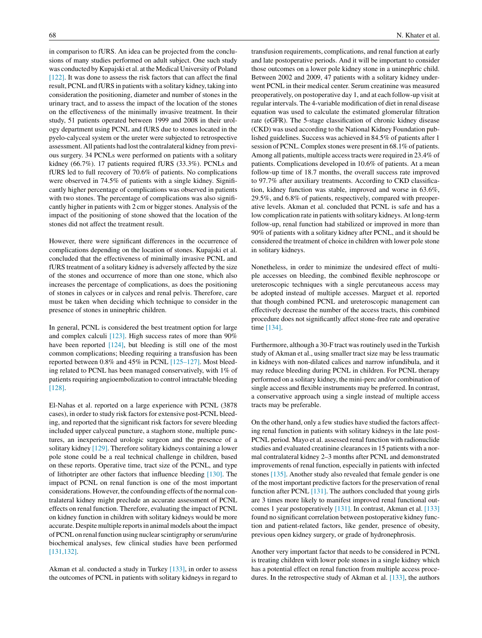in comparison to fURS. An idea can be projected from the conclusions of many studies performed on adult subject. One such study was conducted by Kupajski et al. at the Medical University of Poland [\[122\]. I](#page-9-0)t was done to assess the risk factors that can affect the final result, PCNL and fURS in patients with a solitary kidney, taking into consideration the positioning, diameter and number of stones in the urinary tract, and to assess the impact of the location of the stones on the effectiveness of the minimally invasive treatment. In their study, 51 patients operated between 1999 and 2008 in their urology department using PCNL and fURS due to stones located in the pyelo-calyceal system or the ureter were subjected to retrospective assessment. All patients had lost the contralateral kidney from previous surgery. 34 PCNLs were performed on patients with a solitary kidney (66.7%). 17 patients required fURS (33.3%). PCNLs and fURS led to full recovery of 70.6% of patients. No complications were observed in 74.5% of patients with a single kidney. Significantly higher percentage of complications was observed in patients with two stones. The percentage of complications was also significantly higher in patients with 2 cm or bigger stones. Analysis of the impact of the positioning of stone showed that the location of the stones did not affect the treatment result.

However, there were significant differences in the occurrence of complications depending on the location of stones. Kupajski et al. concluded that the effectiveness of minimally invasive PCNL and fURS treatment of a solitary kidney is adversely affected by the size of the stones and occurrence of more than one stone, which also increases the percentage of complications, as does the positioning of stones in calyces or in calyces and renal pelvis. Therefore, care must be taken when deciding which technique to consider in the presence of stones in uninephric children.

In general, PCNL is considered the best treatment option for large and complex calculi [\[123\].](#page-9-0) High success rates of more than 90% have been reported [\[124\],](#page-9-0) but bleeding is still one of the most common complications; bleeding requiring a transfusion has been reported between 0.8% and 45% in PCNL [\[125–127\]. M](#page-9-0)ost bleeding related to PCNL has been managed conservatively, with 1% of patients requiring angioembolization to control intractable bleeding [\[128\].](#page-9-0)

El-Nahas et al. reported on a large experience with PCNL (3878 cases), in order to study risk factors for extensive post-PCNL bleeding, and reported that the significant risk factors for severe bleeding included upper calyceal puncture, a staghorn stone, multiple punctures, an inexperienced urologic surgeon and the presence of a solitary kidney [\[129\]. T](#page-9-0)herefore solitary kidneys containing a lower pole stone could be a real technical challenge in children, based on these reports. Operative time, tract size of the PCNL, and type of lithotripter are other factors that influence bleeding [\[130\].](#page-9-0) The impact of PCNL on renal function is one of the most important considerations. However, the confounding effects of the normal contralateral kidney might preclude an accurate assessment of PCNL effects on renal function. Therefore, evaluating the impact of PCNL on kidney function in children with solitary kidneys would be more accurate. Despite multiple reports in animal models about the impact of PCNL on renal function using nuclear scintigraphy or serum/urine biochemical analyses, few clinical studies have been performed [\[131,132\].](#page-9-0)

Akman et al. conducted a study in Turkey [\[133\],](#page-9-0) in order to assess the outcomes of PCNL in patients with solitary kidneys in regard to

transfusion requirements, complications, and renal function at early and late postoperative periods. And it will be important to consider those outcomes on a lower pole kidney stone in a uninephric child. Between 2002 and 2009, 47 patients with a solitary kidney underwent PCNL in their medical center. Serum creatinine was measured preoperatively, on postoperative day 1, and at each follow-up visit at regular intervals. The 4-variable modification of diet in renal disease equation was used to calculate the estimated glomerular filtration rate (eGFR). The 5-stage classification of chronic kidney disease (CKD) was used according to the National Kidney Foundation published guidelines. Success was achieved in 84.5% of patients after 1 session of PCNL. Complex stones were present in 68.1% of patients. Among all patients, multiple access tracts were required in 23.4% of patients. Complications developed in 10.6% of patients. At a mean follow-up time of 18.7 months, the overall success rate improved to 97.7% after auxiliary treatments. According to CKD classification, kidney function was stable, improved and worse in 63.6%, 29.5%, and 6.8% of patients, respectively, compared with preoperative levels. Akman et al. concluded that PCNL is safe and has a low complication rate in patients with solitary kidneys. At long-term follow-up, renal function had stabilized or improved in more than 90% of patients with a solitary kidney after PCNL, and it should be considered the treatment of choice in children with lower pole stone in solitary kidneys.

Nonetheless, in order to minimize the undesired effect of multiple accesses on bleeding, the combined flexible nephroscope or ureteroscopic techniques with a single percutaneous access may be adopted instead of multiple accesses. Marguet et al. reported that though combined PCNL and ureteroscopic management can effectively decrease the number of the access tracts, this combined procedure does not significantly affect stone-free rate and operative time [\[134\].](#page-9-0)

Furthermore, although a 30-F tract was routinely used in the Turkish study of Akman et al., using smaller tract size may be less traumatic in kidneys with non-dilated calices and narrow infundibula, and it may reduce bleeding during PCNL in children. For PCNL therapy performed on a solitary kidney, the mini-perc and/or combination of single access and flexible instruments may be preferred. In contrast, a conservative approach using a single instead of multiple access tracts may be preferable.

On the other hand, only a few studies have studied the factors affecting renal function in patients with solitary kidneys in the late post-PCNL period. Mayo et al. assessed renal function with radionuclide studies and evaluated creatinine clearances in 15 patients with a normal contralateral kidney 2–3 months after PCNL and demonstrated improvements of renal function, especially in patients with infected stones [\[135\]. A](#page-9-0)nother study also revealed that female gender is one of the most important predictive factors for the preservation of renal function after PCNL [\[131\]. T](#page-9-0)he authors concluded that young girls are 3 times more likely to manifest improved renal functional outcomes 1 year postoperatively [\[131\]. I](#page-9-0)n contrast, Akman et al. [\[133\]](#page-9-0) found no significant correlation between postoperative kidney function and patient-related factors, like gender, presence of obesity, previous open kidney surgery, or grade of hydronephrosis.

Another very important factor that needs to be considered in PCNL is treating children with lower pole stones in a single kidney which has a potential effect on renal function from multiple access procedures. In the retrospective study of Akman et al. [\[133\], t](#page-9-0)he authors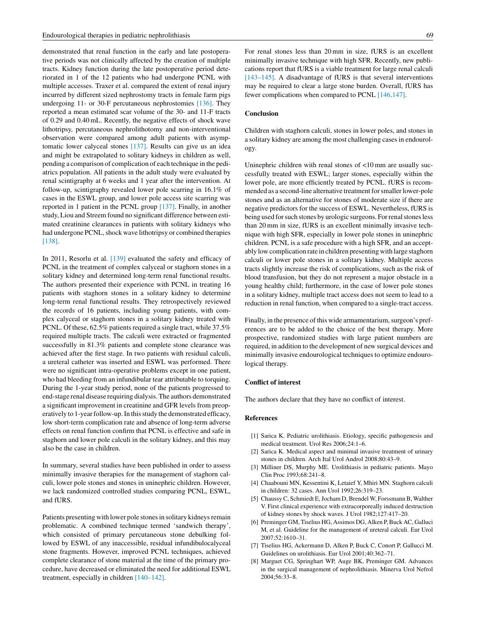<span id="page-6-0"></span>demonstrated that renal function in the early and late postoperative periods was not clinically affected by the creation of multiple tracts. Kidney function during the late postoperative period deteriorated in 1 of the 12 patients who had undergone PCNL with multiple accesses. Traxer et al. compared the extent of renal injury incurred by different sized nephrostomy tracts in female farm pigs undergoing 11- or 30-F percutaneous nephrostomies [\[136\].](#page-9-0) They reported a mean estimated scar volume of the 30- and 11-F tracts of 0.29 and 0.40 mL. Recently, the negative effects of shock wave lithotripsy, percutaneous nephrolithotomy and non-interventional observation were compared among adult patients with asymptomatic lower calyceal stones [\[137\].](#page-9-0) Results can give us an idea and might be extrapolated to solitary kidneys in children as well, pending a comparison of complication of each technique in the pediatrics population. All patients in the adult study were evaluated by renal scintigraphy at 6 weeks and 1 year after the intervention. At follow-up, scintigraphy revealed lower pole scarring in 16.1% of cases in the ESWL group, and lower pole access site scarring was reported in 1 patient in the PCNL group [\[137\].](#page-9-0) Finally, in another study, Liou and Streem found no significant difference between estimated creatinine clearances in patients with solitary kidneys who had undergone PCNL, shock wave lithotripsy or combined therapies [\[138\].](#page-9-0)

In 2011, Resorlu et al. [\[139\]](#page-9-0) evaluated the safety and efficacy of PCNL in the treatment of complex calyceal or staghorn stones in a solitary kidney and determined long-term renal functional results. The authors presented their experience with PCNL in treating 16 patients with staghorn stones in a solitary kidney to determine long-term renal functional results. They retrospectively reviewed the records of 16 patients, including young patients, with complex calyceal or staghorn stones in a solitary kidney treated with PCNL. Of these, 62.5% patients required a single tract, while 37.5% required multiple tracts. The calculi were extracted or fragmented successfully in 81.3% patients and complete stone clearance was achieved after the first stage. In two patients with residual calculi, a ureteral catheter was inserted and ESWL was performed. There were no significant intra-operative problems except in one patient, who had bleeding from an infundibular tear attributable to torquing. During the 1-year study period, none of the patients progressed to end-stage renal disease requiring dialysis. The authors demonstrated a significant improvement in creatinine and GFR levels from preoperatively to 1-year follow-up. In this study the demonstrated efficacy, low short-term complication rate and absence of long-term adverse effects on renal function confirm that PCNL is effective and safe in staghorn and lower pole calculi in the solitary kidney, and this may also be the case in children.

In summary, several studies have been published in order to assess minimally invasive therapies for the management of staghorn calculi, lower pole stones and stones in uninephric children. However, we lack randomized controlled studies comparing PCNL, ESWL, and fURS.

Patients presenting with lower pole stones in solitary kidneys remain problematic. A combined technique termed 'sandwich therapy', which consisted of primary percutaneous stone debulking followed by ESWL of any inaccessible, residual infundibulocalyceal stone fragments. However, improved PCNL techniques, achieved complete clearance of stone material at the time of the primary procedure, have decreased or eliminated the need for additional ESWL treatment, especially in children [\[140–142\].](#page-9-0)

For renal stones less than 20 mm in size, fURS is an excellent minimally invasive technique with high SFR. Recently, new publications report that fURS is a viable treatment for large renal calculi [\[143–145\].](#page-10-0) A disadvantage of fURS is that several interventions may be required to clear a large stone burden. Overall, fURS has fewer complications when compared to PCNL [\[146,147\].](#page-10-0)

## **Conclusion**

Children with staghorn calculi, stones in lower poles, and stones in a solitary kidney are among the most challenging cases in endourology.

Uninephric children with renal stones of <10 mm are usually successfully treated with ESWL; larger stones, especially within the lower pole, are more efficiently treated by PCNL. fURS is recommended as a second-line alternative treatment for smaller lower-pole stones and as an alternative for stones of moderate size if there are negative predictors for the success of ESWL. Nevertheless, fURS is being used for such stones by urologic surgeons. For renal stones less than 20 mm in size, fURS is an excellent minimally invasive technique with high SFR, especially in lower pole stones in uninephric children. PCNL is a safe procedure with a high SFR, and an acceptably low complication rate in children presenting with large staghorn calculi or lower pole stones in a solitary kidney. Multiple access tracts slightly increase the risk of complications, such as the risk of blood transfusion, but they do not represent a major obstacle in a young healthy child; furthermore, in the case of lower pole stones in a solitary kidney, multiple tract access does not seem to lead to a reduction in renal function, when compared to a single-tract access.

Finally, in the presence of this wide armamentarium, surgeon's preferences are to be added to the choice of the best therapy. More prospective, randomized studies with large patient numbers are required, in addition to the development of new surgical devices and minimally invasive endourological techniques to optimize endourological therapy.

#### **Conflict of interest**

The authors declare that they have no conflict of interest.

#### **References**

- [1] Sarica K. Pediatric urolithiasis. Etiology, specific pathogenesis and medical treatment. Urol Res 2006;24:1–6.
- [2] Sarica K. Medical aspect and minimal invasive treatment of urinary stones in children. Arch Ital Urol Androl 2008;80:43–9.
- [3] Milliner DS, Murphy ME. Urolithiasis in pediatric patients. Mayo Clin Proc 1993;68:241–8.
- [4] Chaabouni MN, Kessentini K, Letaief Y, Mhiri MN. Staghorn calculi in children: 32 cases. Ann Urol 1992;26:319–23.
- [5] Chaussy C, Schmiedt E, Jocham D, Brendel W, Forssmann B, Walther V. First clinical experience with extracorporeally induced destruction of kidney stones by shock waves. J Urol 1982;127:417–20.
- [6] Preminger GM, Tiselius HG, Assimos DG, Alken P, Buck AC, Galluci M, et al. Guideline for the management of ureteral calculi. Eur Urol 2007;52:1610–31.
- [7] Tiselius HG, Ackermann D, Alken P, Buck C, Conort P, Gallucci M. Guidelines on urolithiasis. Eur Urol 2001;40:362–71.
- Marguet CG, Springhart WP, Auge BK, Preminger GM. Advances in the surgical management of nephrolithiasis. Minerva Urol Nefrol 2004;56:33–8.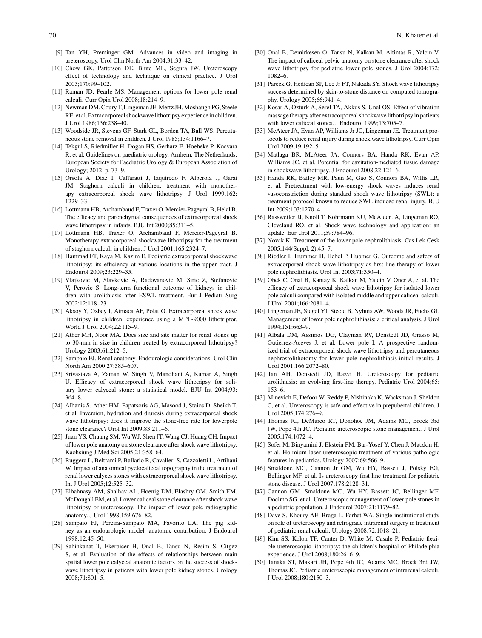- <span id="page-7-0"></span>[9] Tan YH, Preminger GM. Advances in video and imaging in ureteroscopy. Urol Clin North Am 2004;31:33–42.
- [10] Chow GK, Patterson DE, Blute ML, Segura JW. Ureteroscopy effect of technology and technique on clinical practice. J Urol 2003;170:99–102.
- [11] Raman JD, Pearle MS. Management options for lower pole renal calculi. Curr Opin Urol 2008;18:214–9.
- [12] Newman DM, Coury T, Lingeman JE, Mertz JH, Mosbaugh PG, Steele RE, et al. Extracorporeal shockwave lithotripsy experience in children. J Urol 1986;136:238–40.
- [13] Woodside JR, Stevens GF, Stark GL, Borden TA, Ball WS. Percutaneous stone removal in children. J Urol 1985;134:1166–7.
- [14] Tekgül S, Riedmiller H, Dogan HS, Gerharz E, Hoebeke P, Kocvara R, et al. Guidelines on paediatric urology. Arnhem, The Netherlands: European Society for Paediatric Urology & European Association of Urology; 2012. p. 73–9.
- [15] Orsola A, Diaz I, Caffaratti J, Izquiredo F, Alberola J, Garat JM. Staghorn calculi in children: treatment with monotherapy extracorporeal shock wave lithotripsy. J Urol 1999;162: 1229–33.
- [16] Lottmann HB, Archambaud F, Traxer O, Mercier-Pageyral B, Helal B. The efficacy and parenchymal consequences of extracorporeal shock wave lithotripsy in infants. BJU Int 2000;85:311–5.
- [17] Lottmann HB, Traxer O, Archambaud F, Mercier-Pageyral B. Monotherapy extracorporeal shockwave lithotripsy for the treatment of staghorn calculi in children. J Urol 2001;165:2324–7.
- [18] Hammad FT, Kaya M, Kazim E. Pediatric extracorporeal shockwave lithotripsy: its efficiency at various locations in the upper tract. J Endourol 2009;23:229–35.
- [19] Vlajkovic M, Slavkovic A, Radovanovic M, Siric Z, Stefanovic V, Perovic S. Long-term functional outcome of kidneys in children with urolithiasis after ESWL treatment. Eur J Pediatr Surg 2002;12:118–23.
- [20] Aksoy Y, Ozbey I, Atmaca AF, Polat O. Extracorporeal shock wave lithotripsy in children: experience using a MPL-9000 lithotriptor. World J Urol 2004;22:115–9.
- [21] Ather MH, Noor MA. Does size and site matter for renal stones up to 30-mm in size in children treated by extracorporeal lithotripsy? Urology 2003;61:212–5.
- [22] Sampaio FJ. Renal anatomy. Endourologic considerations. Urol Clin North Am 2000;27:585–607.
- [23] Srivastava A, Zaman W, Singh V, Mandhani A, Kumar A, Singh U. Efficacy of extracorporeal shock wave lithotripsy for solitary lower calyceal stone: a statistical model. BJU Int 2004;93: 364–8.
- [24] Albanis S, Ather HM, Papatsoris AG, Masood J, Staios D, Sheikh T, et al. Inversion, hydration and diuresis during extracorporeal shock wave lithotripsy: does it improve the stone-free rate for lowerpole stone clearance? Urol Int 2009;83:211–6.
- [25] Juan YS, Chuang SM, Wu WJ, Shen JT, Wang CJ, Huang CH. Impact of lower pole anatomy on stone clearance after shock wave lithotripsy. Kaohsiung J Med Sci 2005;21:358–64.
- [26] Ruggera L, Beltrami P, Ballario R, Cavalleri S, Cazzoletti L, Artibani W. Impact of anatomical pyelocaliceal topography in the treatment of renal lower calyces stones with extracorporeal shock wave lithotripsy. Int J Urol 2005;12:525–32.
- [27] Elbahnasy AM, Shalhav AL, Hoenig DM, Elashry OM, Smith EM, McDougall EM, et al. Lower caliceal stone clearance after shock wave lithotripsy or ureteroscopy. The impact of lower pole radiographic anatomy. J Urol 1998;159:676–82.
- [28] Sampaio FJ, Pereira-Sampaio MA, Favorito LA. The pig kidney as an endourologic model: anatomic contribution. J Endourol 1998;12:45–50.
- [29] Sahinkanat T, Ekerbicer H, Onal B, Tansu N, Resim S, Citgez S, et al. Evaluation of the effects of relationships between main spatial lower pole calyceal anatomic factors on the success of shockwave lithotripsy in patients with lower pole kidney stones. Urology 2008;71:801–5.
- [30] Onal B, Demirkesen O, Tansu N, Kalkan M, Altintas R, Yalcin V. The impact of caliceal pelvic anatomy on stone clearance after shock wave lithotripsy for pediatric lower pole stones. J Urol 2004;172: 1082–6.
- [31] Pareek G, Hedican SP, Lee Jr FT, Nakada SY, Shock wave lithotripsy success determined by skin-to-stone distance on computed tomography. Urology 2005;66:941–4.
- [32] Kosar A, Ozturk A, Serel TA, Akkus S, Unal OS. Effect of vibration massage therapy after extracorporeal shockwave lithotripsy in patients with lower caliceal stones. J Endourol 1999;13:705–7.
- [33] McAteer JA, Evan AP, Williams Jr JC, Lingeman JE. Treatment protocols to reduce renal injury during shock wave lithotripsy. Curr Opin  $U_{\text{I}}$  2009:19:192–5.
- [34] Matlaga BR, McAteer JA, Connors BA, Handa RK, Evan AP, Williams JC, et al. Potential for cavitation-mediated tissue damage in shockwave lithotripsy. J Endourol 2008;22:121–6.
- [35] Handa RK, Bailey MR, Paun M, Gao S, Connors BA, Willis LR, et al. Pretreatment with low-energy shock waves induces renal vasoconstriction during standard shock wave lithotripsy (SWL): a treatment protocol known to reduce SWL-induced renal injury. BJU Int 2009;103:1270–4.
- [36] Rassweiler JJ, Knoll T, Kohrmann KU, McAteer JA, Lingeman RO, Cleveland RO, et al. Shock wave technology and application: an update. Eur Urol 2011;59:784–96.
- [37] Novak K. Treatment of the lower pole nephrolithiasis. Cas Lek Cesk 2005;144(Suppl. 2):45–7.
- [38] Riedler I, Trummer H, Hebel P, Hubmer G. Outcome and safety of extracorporeal shock wave lithotripsy as first-line therapy of lower pole nephrolithiasis. Urol Int 2003;71:350–4.
- [39] Obek C, Onal B, Kantay K, Kalkan M, Yalcin V, Oner A, et al. The efficacy of extracorporeal shock wave lithotripsy for isolated lower pole calculi compared with isolated middle and upper caliceal calculi. J Urol 2001;166:2081–4.
- [40] Lingeman JE, Siegel YI, Steele B, Nyhuis AW, Woods JR, Fuchs GJ. Management of lower pole nephrolithiasis: a critical analysis. J Urol 1994;151:663–9.
- [41] Albala DM, Assimos DG, Clayman RV, Denstedt JD, Grasso M, Gutierrez-Aceves J, et al. Lower pole I. A prospective randomized trial of extracorporeal shock wave lithotripsy and percutaneous nephrostolithotomy for lower pole nephrolithiasis-initial results. J Urol 2001;166:2072–80.
- [42] Tan AH, Denstedt JD, Razvi H. Ureteroscopy for pediatric urolithiasis: an evolving first-line therapy. Pediatric Urol 2004;65: 153–6.
- [43] Minevich E, Defoor W, Reddy P, Nishinaka K, Wacksman J, Sheldon C, et al. Ureteroscopy is safe and effective in prepubertal children. J Urol 2005;174:276–9.
- [44] Thomas JC, DeMarco RT, Donohoe JM, Adams MC, Brock 3rd JW, Pope 4th JC. Pediatric ureteroscopic stone management. J Urol 2005;174:1072–4.
- [45] Sofer M, Binyamini J, Ekstein PM, Bar-Yosef Y, Chen J, Matzkin H, et al. Holmium laser ureteroscopic treatment of various pathologic features in pediatrics. Urology 2007;69:566–9.
- [46] Smaldone MC, Cannon Jr GM, Wu HY, Bassett J, Polsky EG, Bellinger MF, et al. Is ureteroscopy first line treatment for pediatric stone disease. J Urol 2007;178:2128–31.
- [47] Cannon GM, Smaldone MC, Wu HY, Bassett JC, Bellinger MF, Docimo SG, et al. Ureteroscopic management of lower pole stones in a pediatric population. J Endourol 2007;21:1179–82.
- [48] Dave S, Khoury AE, Braga L, Farhat WA. Single-institutional study on role of ureteroscopy and retrograde intrarenal surgery in treatment of pediatric renal calculi. Urology 2008;72:1018–21.
- [49] Kim SS, Kolon TF, Canter D, White M, Casale P. Pediatric flexible ureteroscopic lithotripsy: the children's hospital of Philadelphia experience. J Urol 2008;180:2616–9.
- [50] Tanaka ST, Makari JH, Pope 4th JC, Adams MC, Brock 3rd JW, Thomas JC. Pediatric ureteroscopic management of intrarenal calculi. J Urol 2008;180:2150–3.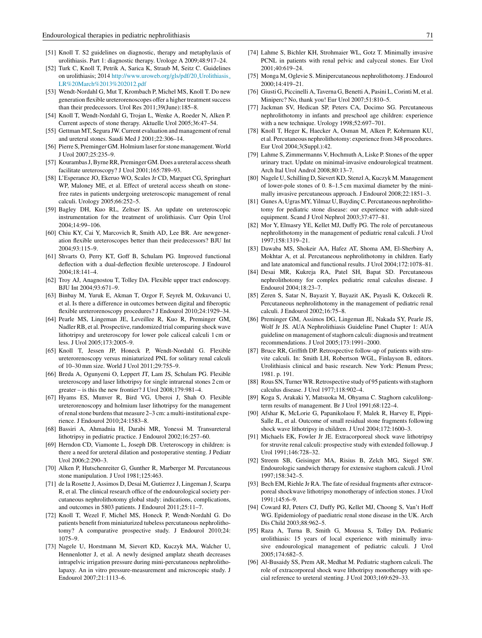- <span id="page-8-0"></span>[51] Knoll T. S2 guidelines on diagnostic, therapy and metaphylaxis of urolithiasis. Part 1: diagnostic therapy. Urologe A 2009;48:917–24.
- [52] Turk C, Knoll T, Petrik A, Sarica K, Straub M, Seitz C. Guidelines on urolithiasis; 2014 [http://www.uroweb.org/gls/pdf/20](http://www.uroweb.org/gls/pdf/20_Urolithiasis_LR March 13 2012.pdf)\_Urolithiasis\_ [LR%20March%2013%202012.pdf](http://www.uroweb.org/gls/pdf/20_Urolithiasis_LR March 13 2012.pdf)
- [53] Wendt-Nordahl G, Mut T, Krombach P, Michel MS, Knoll T. Do new generation flexible ureterorenoscopes offer a higher treatment success than their predecessors. Urol Res 2011;39(June):185–8.
- [54] Knoll T, Wendt-Nordahl G, Trojan L, Wenke A, Roeder N, Alken P. Current aspects of stone therapy. Aktuelle Urol 2005;36:47–54.
- [55] Gettman MT, Segura JW. Current evaluation and management of renal and ureteral stones. Saudi Med J 2001;22:306–14.
- [56] Pierre S, Preminger GM. Holmium laser for stone management. World J Urol 2007;25:235–9.
- [57] Kourambas J, Byrne RR, Preminger GM. Does a ureteral access sheath facilitate ureteroscopy? J Urol 2001;165:789–93.
- [58] L'Esperance JO, Ekeruo WO, Scales Jr CD, Marguet CG, Springhart WP, Maloney ME, et al. Effect of ureteral access sheath on stonefree rates in patients undergoing ureteroscopic management of renal calculi. Urology 2005;66:252–5.
- [59] Bagley DH, Kuo RL, Zeltser IS. An update on ureteroscopic instrumentation for the treatment of urolithiasis. Curr Opin Urol 2004;14:99–106.
- [60] Chiu KY, Cai Y, Marcovich R, Smith AD, Lee BR. Are newgeneration flexible ureteroscopes better than their predecessors? BJU Int 2004;93:115–9.
- [61] Shvarts O, Perry KT, Goff B, Schulam PG. Improved functional deflection with a dual-deflection flexible ureteroscope. J Endourol 2004;18:141–4.
- [62] Troy AJ, Anagnostou T, Tolley DA. Flexible upper tract endoscopy. BJU Int 2004;93:671–9.
- [63] Binbay M, Yuruk E, Akman T, Ozgor F, Seyrek M, Ozkuvanci U, et al. Is there a difference in outcomes between digital and fiberoptic flexible ureterorenoscopy procedures? J Endourol 2010;24:1929–34.
- [64] Pearle MS, Lingeman JE, Leveillee R, Kuo R, Preminger GM, Nadler RB, et al. Prospective, randomized trial comparing shock wave lithotripsy and ureteroscopy for lower pole caliceal calculi 1 cm or less. J Urol 2005;173:2005–9.
- [65] Knoll T, Jessen JP, Honeck P, Wendt-Nordahl G. Flexible ureterorenoscopy versus miniaturized PNL for solitary renal calculi of 10–30 mm size. World J Urol 2011;29:755–9.
- [66] Breda A, Ogunyemi O, Leppert JT, Lam JS, Schulam PG. Flexible ureteroscopy and laser lithotripsy for single intrarenal stones 2 cm or greater – is this the new frontier? J Urol 2008;179:981–4.
- [67] Hyams ES, Munver R, Bird VG, Uberoi J, Shah O. Flexible ureterorenoscopy and holmium laser lithotripsy for the management of renal stone burdens that measure 2–3 cm: a multi-institutional experience. J Endourol 2010;24:1583–8.
- [68] Bassiri A, Ahmadnia H, Darabi MR, Yonessi M. Transureteral lithotripsy in pediatric practice. J Endourol 2002;16:257–60.
- [69] Herndon CD, Viamonte L, Joseph DB. Ureteroscopy in children: is there a need for ureteral dilation and postoperative stenting. J Pediatr Urol 2006;2:290–3.
- [70] Alken P, Hutschenreiter G, Gunther R, Marberger M. Percutaneous stone manipulation. J Urol 1981;125:463.
- [71] de la Rosette J, Assimos D, Desai M, Gutierrez J, Lingeman J, Scarpa R, et al. The clinical research office of the endourological society percutaneous nephrolithotomy global study: indications, complications, and outcomes in 5803 patients. J Endourol 2011;25:11–7.
- [72] Knoll T, Wezel F, Michel MS, Honeck P, Wendt-Nordahl G. Do patients benefit from miniaturized tubeless percutaneous nephrolithotomy? A comparative prospective study. J Endourol 2010;24: 1075–9.
- [73] Nagele U, Horstmann M, Sievert KD, Kuczyk MA, Walcher U, Hennenlotter J, et al. A newly designed amplatz sheath decreases intrapelvic irrigation pressure during mini-percutaneous nephrolitholapaxy. An in vitro pressure-measurement and microscopic study. J Endourol 2007;21:1113–6.
- [74] Lahme S, Bichler KH, Strohmaier WL, Gotz T, Minimally invasive PCNL in patients with renal pelvic and calyceal stones. Eur Urol 2001;40:619–24.
- [75] Monga M, Oglevie S. Minipercutaneous nephrolithotomy. J Endourol 2000;14:419–21.
- [76] Giusti G, Piccinelli A, Taverna G, Benetti A, Pasini L, Corinti M, et al. Miniperc? No, thank you! Eur Urol 2007;51:810–5.
- [77] Jackman SV, Hedican SP, Peters CA, Docimo SG. Percutaneous nephrolithotomy in infants and preschool age children: experience with a new technique. Urology 1998;52:697–701.
- [78] Knoll T, Heger K, Haecker A, Osman M, Alken P, Kohrmann KU, et al. Percutaneous nephrolithotomy: experience from 348 procedures. Eur Urol 2004;3(Suppl.):42.
- [79] Lahme S, Zimmermanns V, Hochmuth A, Liske P. Stones of the upper urinary tract. Update on minimal-invasive endourological treatment. Arch Ital Urol Androl 2008;80:13–7.
- [80] Nagele U, Schilling D, Sievert KD, Stenzl A, Kuczyk M. Management of lower-pole stones of 0. 8–1.5 cm maximal diameter by the minimally invasive percutaneous approach. J Endourol 2008;22:1851–3.
- [81] Gunes A, Ugras MY, Yilmaz U, Baydinç C. Percutaneous nephrolithotomy for pediatric stone disease: our experience with adult-sized equipment. Scand J Urol Nephrol 2003;37:477–81.
- [82] Mor Y, Elmasry YE, Kellet MJ, Duffy PG. The role of percutaneous nephrolithotomy in the management of pediatric renal calculi. J Urol 1997;158:1319–21.
- [83] Dawaba MS, Shokeir AA, Hafez AT, Shoma AM, El-Sherbiny A, Mokhtar A, et al. Percutaneous nephrolithotomy in children. Early and late anatomical and functional results. J Urol 2004;172:1078–81.
- [84] Desai MR, Kukreja RA, Patel SH, Bapat SD. Percutaneous nephrolithotomy for complex pediatric renal calculus disease. J Endourol 2004;18:23–7.
- [85] Zeren S, Satar N, Bayazit Y, Bayazit AK, Payasli K, Ozkeceli R. Percutaneous nephrolithotomy in the management of pediatric renal calculi. J Endourol 2002;16:75–8.
- [86] Preminger GM, Assimos DG, Lingeman JE, Nakada SY, Pearle JS, Wolf Jr JS. AUA Nephrolithiasis Guideline Panel Chapter 1: AUA guideline on management of staghorn calculi: diagnosis and treatment recommendations. J Urol 2005;173:1991–2000.
- [87] Bruce RR, Griffith DP. Retrospective follow-up of patients with struvite calculi. In: Smith LH, Robertson WGL, Finlayson B, editors. Urolithiasis clinical and basic research. New York: Plenum Press; 1981. p. 191.
- [88] Rous SN, Turner WR. Retrospective study of 95 patients with staghorn calculus disease. J Urol 1977;118:902–4.
- [89] Koga S, Arakaki Y, Matsuoka M, Ohyama C. Staghorn calculilongterm results of management. Br J Urol 1991;68:122–4.
- [90] Afshar K, McLorie G, Papanikolaou F, Malek R, Harvey E, Pippi-Salle JL, et al. Outcome of small residual stone fragments following shock wave lithotripsy in children. J Urol 2004;172:1600–3.
- [91] Michaels EK, Fowler Jr JE. Extracorporeal shock wave lithotripsy for struvite renal calculi: prospective study with extended followup. J Urol 1991;146:728–32.
- [92] Streem SB, Geisinger MA, Risius B, Zelch MG, Siegel SW. Endourologic sandwich therapy for extensive staghorn calculi. J Urol 1997;158:342–5.
- [93] Bech EM, Riehle Jr RA. The fate of residual fragments after extracorporeal shockwave lithotripsy monotherapy of infection stones. J Urol 1991;145:6–9.
- [94] Coward RJ, Peters CJ, Duffy PG, Kellet MJ, Choong S, Van't Hoff WG. Epidemiology of paediatric renal stone disease in the UK. Arch Dis Child 2003;88:962–5.
- [95] Raza A, Turna B, Smith G, Moussa S, Tolley DA. Pediatric urolithiasis: 15 years of local experience with minimally invasive endourological management of pediatric calculi. J Urol 2005;174:682–5.
- [96] Al-Busaidy SS, Prem AR, Medhat M. Pediatric staghorn calculi. The role of extracorporeal shock wave lithotripsy monotherapy with special reference to ureteral stenting. J Urol 2003;169:629–33.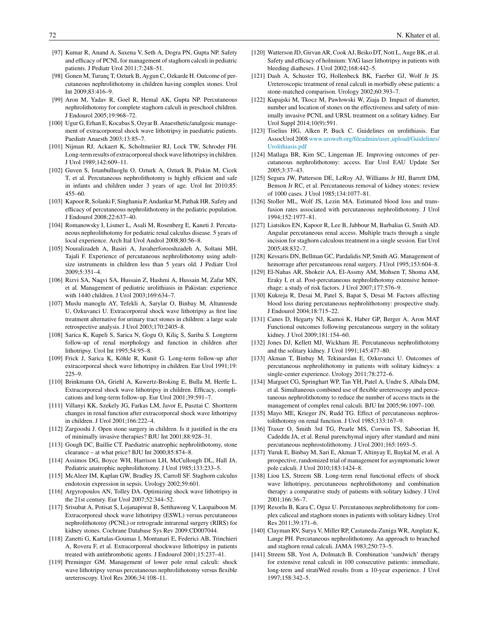- <span id="page-9-0"></span>[97] Kumar R, Anand A, Saxena V, Seth A, Dogra PN, Gupta NP. Safety and efficacy of PCNL for management of staghorn calculi in pediatric patients. J Pediatr Urol 2011;7:248–51.
- [98] Gonen M, Turunç T, Ozturk B, Aygun C, Ozkarde H. Outcome of percutaneous nephrolithotomy in children having complex stones. Urol Int 2009;83:416–9.
- [99] Aron M, Yadav R, Goel R, Hemal AK, Gupta NP. Percutaneous nephrolithotomy for complete staghorn calculi in preschool children. J Endourol 2005;19:968–72.
- [100] Ugur G, Erhan E, Kocabas S, Ozyar B. Anaesthetic/analgesic management of extracorporeal shock wave lithotripsy in paediatric patients. Paediatr Anaesth 2003;13:85–7.
- [101] Nijman RJ, Ackaert K, Scholtmeiier RJ, Lock TW, Schroder FH. Long-term results of extracorporeal shock wave lithotripsy in children. J Urol 1989;142:609–11.
- [102] Guven S, Istanbulluoglu O, Ozturk A, Ozturk B, Piskin M, Cicek T, et al. Percutaneous nephrolithotomy is highly efficient and safe in infants and children under 3 years of age. Urol Int 2010;85: 455–60.
- [103] Kapoor R, Solanki F, Singhania P, Andankar M, Pathak HR. Safety and efficacy of percutaneous nephrolithotomy in the pediatric population. J Endourol 2008;22:637–40.
- [104] Romanowsky I, Lismer L, Asali M, Rosenberg E, Kaneti J. Percutaneous nephrolithotomy for pediatric renal calculus disease. 5 years of local experience. Arch Ital Urol Androl 2008;80:56–8.
- [105] Nouralizadeh A, Basiri A, Javaherforooshzadeh A, Soltani MH, Tajali F. Experience of percutaneous nephrolithotomy using adultsize instruments in children less than 5 years old. J Pediatr Urol 2009;5:351–4.
- [106] Rizvi SA, Naqvi SA, Hussain Z, Hashmi A, Hussain M, Zafar MN, et al. Management of pediatric urolithiasis in Pakistan: experience with 1440 children. J Urol 2003;169:634–7.
- [107] Muslu manoglu AY, Tefekli A, Sarylar O, Binbay M, Altunrende U, Ozkuvanci U. Extracorporeal shock wave lithotripsy as first line treatment alternative for urinary tract stones in children: a large scale retrospective analysis. J Urol 2003;170:2405–8.
- [108] Sarica K, Kupeli S, Sarica N, Gogu O, Kiliç S, Sariba S. Longterm follow-up of renal morphology and function in children after lithotripsy. Urol Int 1995;54:95–8.
- [109] Frick J, Sarica K, Köhle R, Kunit G. Long-term follow-up after extracorporeal shock wave lithotripsy in children. Eur Urol 1991;19:  $225-9$
- [110] Brinkmann OA, Griehl A, Kuwertz-Broking E, Bulla M, Hertle L. Extracorporeal shock wave lithotripsy in children. Efficacy, complications and long-term follow-up. Eur Urol 2001;39:591–7.
- [111] Villanyi KK, Szekely JG, Farkas LM, Javor E, Pusztai C. Shortterm changes in renal function after extracorporeal shock wave lithotripsy in children. J Urol 2001;166:222–4.
- [112] Zargooshi J. Open stone surgery in children. Is it justified in the era of minimally invasive therapies? BJU Int 2001;88:928–31.
- [113] Gough DC, Baillie CT. Paediatric anatrophic nephrolithotomy, stone clearance – at what price? BJU Int 2000;85:874–8.
- [114] Assimos DG, Boyce WH, Harrison LH, McCullough DL, Hall JA. Pediatric anatrophic nephrolithotomy. J Urol 1985;133:233–5.
- [115] McAleer IM, Kaplan GW, Bradley JS, Carroll SF. Staghorn calculus endotoxin expression in sepsis. Urology 2002;59:601.
- [116] Argyropoulos AN, Tolley DA. Optimizing shock wave lithotripsy in the 21st century. Eur Urol 2007;52:344–52.
- [117] Srisubat A, Potisat S, Lojanapiwat B, Setthawong V, Laopaiboon M. Extracorporeal shock wave lithotripsy (ESWL) versus percutaneous nephrolithotomy (PCNL) or retrograde intrarenal surgery (RIRS) for kidney stones. Cochrane Database Sys Rev 2009:CD007044.
- [118] Zanetti G, Kartalas-Goumas I, Montanari E, Federici AB, Trinchieri A, Rovera F, et al. Extracorporeal shockwave lithotripsy in patients treated with antithrombotic agents. J Endourol 2001;15:237–41.
- [119] Preminger GM. Management of lower pole renal calculi: shock wave lithotripsy versus percutaneous nephrolithotomy versus flexible ureteroscopy. Urol Res 2006;34:108–11.
- [120] Watterson JD, Girvan AR, Cook AJ, Beiko DT, Nott L, Auge BK, et al. Safety and efficacy of holmium: YAG laser lithotripsy in patients with bleeding diatheses. J Urol 2002;168:442–5.
- [121] Dash A, Schuster TG, Hollenbeck BK, Faerber GJ, Wolf Jr JS. Ureteroscopic treatment of renal calculi in morbidly obese patients: a stone-matched comparison. Urology 2002;60:393–7.
- [122] Kupajski M, Tkocz M, Pawłowski W, Ziaja D. Impact of diameter, number and location of stones on the effectiveness and safety of minimally invasive PCNL and URSL treatment on a solitary kidney. Eur Urol Suppl 2014;10(9):591.
- [123] Tiselius HG, Alken P, Buck C. Guidelines on urolithiasis. Eur AssocUrol 2008 [www.uroweb.org/fileadmin/user](http://www.uroweb.org/fileadmin/user_upload/Guidelines/Urolithiasis.pdf)\_upload/Guidelines/ [Urolithiasis.pdf](http://www.uroweb.org/fileadmin/user_upload/Guidelines/Urolithiasis.pdf)
- [124] Matlaga BR, Kim SC, Lingeman JE. Improving outcomes of percutaneous nephrolithotomy: access. Eur Urol EAU Update Ser 2005;3:37–43.
- [125] Segura JW, Patterson DE, LeRoy AJ, Williams Jr HJ, Barrett DM, Benson Jr RC, et al. Percutaneous removal of kidney stones: review of 1000 cases. J Urol 1985;134:1077–81.
- [126] Stoller ML, Wolf JS, Lezin MA. Estimated blood loss and transfusion rates associated with percutaneous nephrolithotomy. J Urol 1994;152:1977–81.
- [127] Liatsikos EN, Kapoor R, Lee B, Jabbour M, Barbalias G, Smith AD. Angular percutaneous renal access. Multiple tracts through a single incision for staghorn calculous treatment in a single session. Eur Urol 2005;48:832–7.
- [128] Kessaris DN, Bellman GC, Pardalidis NP, Smith AG. Management of hemorrage after percutaneous renal surgery. J Urol 1995;153:604–8.
- [129] El-Nahas AR, Shokeir AA, El-Assmy AM, Mohsen T, Shoma AM, Eraky I, et al. Post-percutaneous nephrolithotomy extensive hemorrhage: a study of risk factors. J Urol 2007;177:576–9.
- [130] Kukreja R, Desai M, Patel S, Bapat S, Desai M. Factors affecting blood loss during percutaneous nephrolithotomy: prospective study. J Endourol 2004;18:715–22.
- [131] Canes D, Hegarty NJ, Kamoi K, Haber GP, Berger A, Aron MAT Functional outcomes following percutaneous surgery in the solitary kidney. J Urol 2009;181:154–60.
- [132] Jones DJ, Kellett MJ, Wickham JE. Percutaneous nephrolithotomy and the solitary kidney. J Urol 1991;145:477–80.
- [133] Akman T, Binbay M, Tekinarslan E, Ozkuvanci U. Outcomes of percutaneous nephrolithotomy in patients with solitary kidneys: a single-center experience. Urology 2011;78:272–6.
- [134] Marguet CG, Springhart WP, Tan YH, Patel A, Undre S, Albala DM, et al. Simultaneous combined use of flexible ureteroscopy and percutaneous nephrolithotomy to reduce the number of access tracts in the management of complex renal calculi. BJU Int 2005;96:1097–100.
- [135] Mayo ME, Krieger JN, Rudd TG. Effect of percutaneous nephrostolithotomy on renal function. J Urol 1985;133:167–9.
- [136] Traxer O, Smith 3rd TG, Pearle MS, Corwin TS, Saboorian H, Cadeddu JA, et al. Renal parenchymal injury after standard and mini percutaneous nephrostolithotomy. J Urol 2001;165:1693–5.
- [137] Yuruk E, Binbay M, Sari E, Akman T, Altinyay E, Baykal M, et al. A prospective, randomized trial of management for asymptomatic lower pole calculi. J Urol 2010;183:1424–8.
- [138] Liou LS, Streem SB. Long-term renal functional effects of shock wave lithotripsy, percutaneous nephrolithotomy and combination therapy: a comparative study of patients with solitary kidney. J Urol 2001;166:36–7.
- [139] Resorlu B, Kara C, Oguz U. Percutaneous nephrolithotomy for complex caliceal and staghorn stones in patients with solitary kidney. Urol Res 2011;39:171–6.
- [140] Clayman RV, Surya V, Miller RP, Castaneda-Zuniga WR, Amplatz K, Lange PH. Percutaneous nephrolithotomy. An approach to branched and staghorn renal calculi. JAMA 1983;250:73–5.
- [141] Streem SB, Yost A, Dolmatch B. Combination 'sandwich' therapy for extensive renal calculi in 100 consecutive patients: immediate, long-term and stratiWed results from a 10-year experience. J Urol 1997;158:342–5.